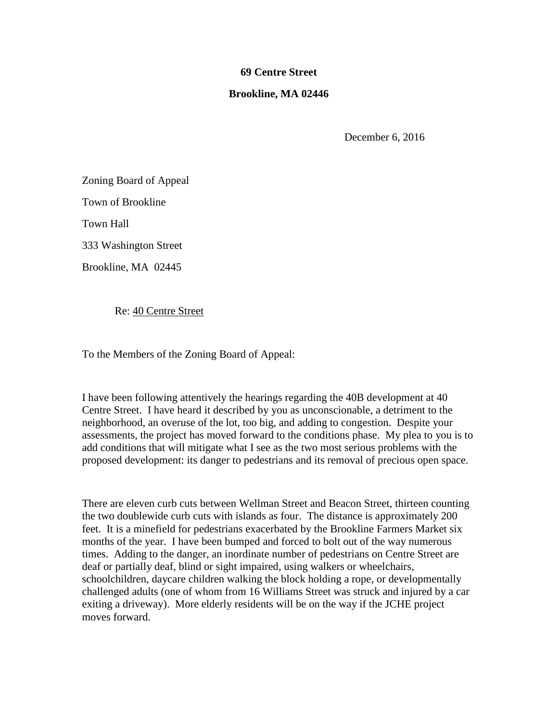## **69 Centre Street**

## **Brookline, MA 02446**

December 6, 2016

Zoning Board of Appeal

Town of Brookline

Town Hall

333 Washington Street

Brookline, MA 02445

Re: 40 Centre Street

To the Members of the Zoning Board of Appeal:

I have been following attentively the hearings regarding the 40B development at 40 Centre Street. I have heard it described by you as unconscionable, a detriment to the neighborhood, an overuse of the lot, too big, and adding to congestion. Despite your assessments, the project has moved forward to the conditions phase. My plea to you is to add conditions that will mitigate what I see as the two most serious problems with the proposed development: its danger to pedestrians and its removal of precious open space.

There are eleven curb cuts between Wellman Street and Beacon Street, thirteen counting the two doublewide curb cuts with islands as four. The distance is approximately 200 feet. It is a minefield for pedestrians exacerbated by the Brookline Farmers Market six months of the year. I have been bumped and forced to bolt out of the way numerous times. Adding to the danger, an inordinate number of pedestrians on Centre Street are deaf or partially deaf, blind or sight impaired, using walkers or wheelchairs, schoolchildren, daycare children walking the block holding a rope, or developmentally challenged adults (one of whom from 16 Williams Street was struck and injured by a car exiting a driveway). More elderly residents will be on the way if the JCHE project moves forward.